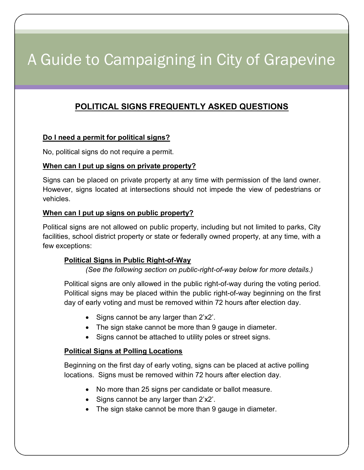# A Guide to Campaigning in City of Grapevine

# POLITICAL SIGNS FREQUENTLY ASKED QUESTIONS

## Do I need a permit for political signs?

No, political signs do not require a permit.

#### When can I put up signs on private property?

Signs can be placed on private property at any time with permission of the land owner. However, signs located at intersections should not impede the view of pedestrians or vehicles.

#### When can I put up signs on public property?

Political signs are not allowed on public property, including but not limited to parks, City facilities, school district property or state or federally owned property, at any time, with a few exceptions:

#### Political Signs in Public Right-of-Way

(See the following section on public-right-of-way below for more details.)

 Political signs are only allowed in the public right-of-way during the voting period. Political signs may be placed within the public right-of-way beginning on the first day of early voting and must be removed within 72 hours after election day.

- Signs cannot be any larger than 2'x2'.
- The sign stake cannot be more than 9 gauge in diameter.
- Signs cannot be attached to utility poles or street signs.

#### **Political Signs at Polling Locations**

 Beginning on the first day of early voting, signs can be placed at active polling locations. Signs must be removed within 72 hours after election day.

- No more than 25 signs per candidate or ballot measure.
- $\bullet$  Signs cannot be any larger than 2'x2'.
- The sign stake cannot be more than 9 gauge in diameter.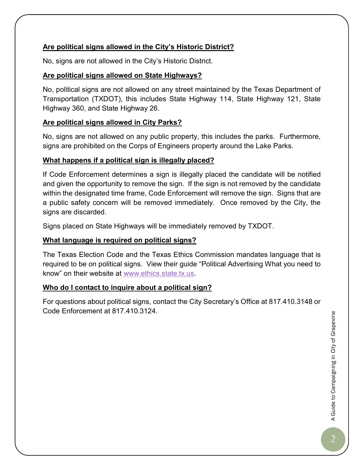# Are political signs allowed in the City's Historic District?

No, signs are not allowed in the City's Historic District.

## Are political signs allowed on State Highways?

No, political signs are not allowed on any street maintained by the Texas Department of Transportation (TXDOT), this includes State Highway 114, State Highway 121, State Highway 360, and State Highway 26.

#### Are political signs allowed in City Parks?

No, signs are not allowed on any public property, this includes the parks. Furthermore, signs are prohibited on the Corps of Engineers property around the Lake Parks.

## What happens if a political sign is illegally placed?

If Code Enforcement determines a sign is illegally placed the candidate will be notified and given the opportunity to remove the sign. If the sign is not removed by the candidate within the designated time frame, Code Enforcement will remove the sign. Signs that are a public safety concern will be removed immediately. Once removed by the City, the signs are discarded.

Signs placed on State Highways will be immediately removed by TXDOT.

## What language is required on political signs?

The Texas Election Code and the Texas Ethics Commission mandates language that is required to be on political signs. View their guide "Political Advertising What you need to know" on their website at www.ethics.state.tx.us.

## Who do I contact to inquire about a political sign?

For questions about political signs, contact the City Secretary's Office at 817.410.3148 or Code Enforcement at 817.410.3124.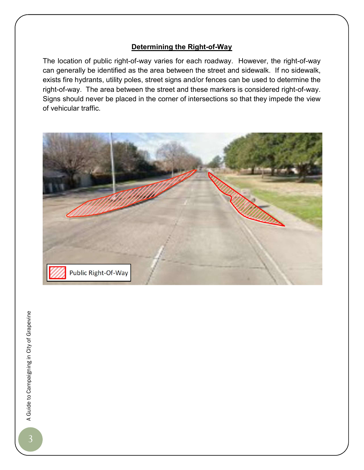#### Determining the Right-of-Way

The location of public right-of-way varies for each roadway. However, the right-of-way can generally be identified as the area between the street and sidewalk. If no sidewalk, exists fire hydrants, utility poles, street signs and/or fences can be used to determine the right-of-way. The area between the street and these markers is considered right-of-way. Signs should never be placed in the corner of intersections so that they impede the view of vehicular traffic.



A Guide to Campaigning in City of Grapevine<br>3 A Guide to Campaigning in City of Grapevine<br>3 A Grapevine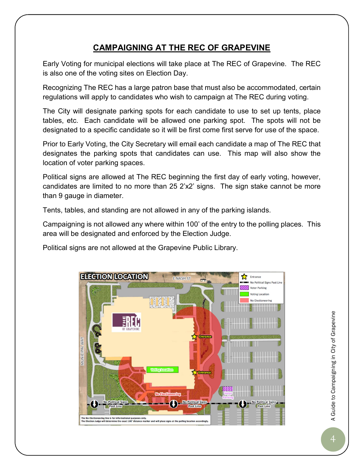# CAMPAIGNING AT THE REC OF GRAPEVINE

Early Voting for municipal elections will take place at The REC of Grapevine. The REC is also one of the voting sites on Election Day.

Recognizing The REC has a large patron base that must also be accommodated, certain regulations will apply to candidates who wish to campaign at The REC during voting.

The City will designate parking spots for each candidate to use to set up tents, place tables, etc. Each candidate will be allowed one parking spot. The spots will not be designated to a specific candidate so it will be first come first serve for use of the space.

Prior to Early Voting, the City Secretary will email each candidate a map of The REC that designates the parking spots that candidates can use. This map will also show the location of voter parking spaces.

Political signs are allowed at The REC beginning the first day of early voting, however, candidates are limited to no more than 25 2'x2' signs. The sign stake cannot be more than 9 gauge in diameter.

Tents, tables, and standing are not allowed in any of the parking islands.

Campaigning is not allowed any where within 100' of the entry to the polling places. This area will be designated and enforced by the Election Judge.

Political signs are not allowed at the Grapevine Public Library.